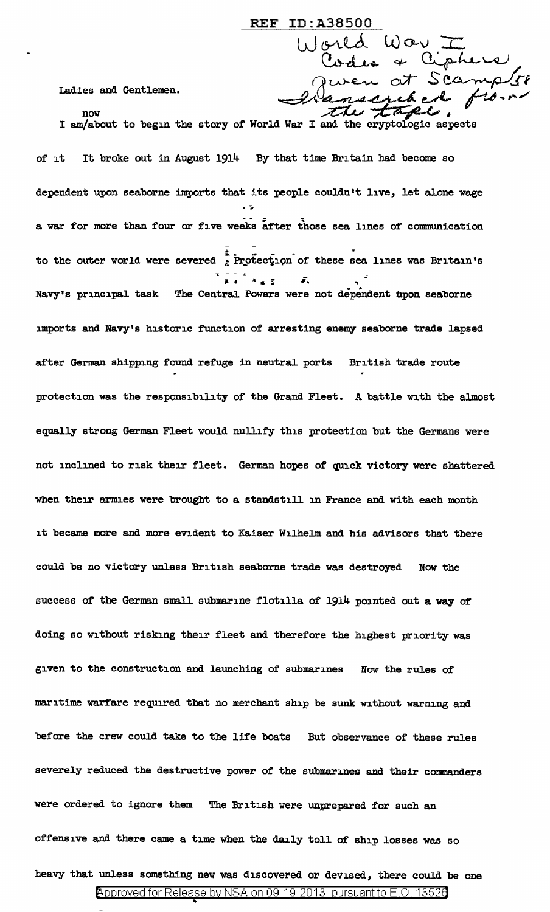Ladies and Gentlemen.<br>now<br>I am/about to begin the story of World War I and the cryptologic aspects

REF ID:A38500

 $\overline{\omega}$  gred  $\omega$  or  $\overline{\omega}$ 

 $\mathbf{C}_{\mathbf{v}}$ des a  $\mathbf{C}_{\mathbf{v}}$ phere'.

of it It broke out in August 1914 By that time Britain had become so dependent upon seaborne imports that its people couldn't live, let alone wage<br>. ; a war for more than four or five weeks after those sea lines of communication to the outer world were severed  $\frac{1}{\varepsilon}$  Protection of these sea lines was Britain's ""I - - :I.  $\overline{A}$  ...  $\overline{A}$  ...  $\overline{A}$  ...  $\overline{A}$  ...  $\overline{A}$  ...  $\overline{A}$  ...  $\overline{A}$  ...  $\overline{A}$  ...  $\overline{A}$  ...  $\overline{A}$  ...  $\overline{A}$  ...  $\overline{A}$  ...  $\overline{A}$  ...  $\overline{A}$  ... Navy's principal task The Central Powers were not dependent upon seaborne :unports and Navy's historic function of arresting enemy seaborne trade lapsed after German shipping found refuge in neutral ports British trade route protection was the responsibility of the Grand Fleet. A battle with the almost equally strong German Fleet would nullify this protection but the Germans were not inclined to risk their fleet. German hopes of quick victory were shattered when their armies were brought to a standstill in France and with each month it became more and more evident to Kaiser Wilhelm and his advisors that there could be no victory unless British seaborne trade was destroyed Now the success of the German small submarine flotilla of 1914 pointed out a way of doing so without risking their fleet and therefore the highest priority was given to the construction and launching of submarines Now the rules of maritime warfare required that no merchant ship be sunk without warning and before the crew could take to the life boats But observance of these rules severely reduced the destructive power of the submarines and their commanders were ordered to ignore them The British were unprepared for such an offensive and there came a time when the daily toll of ship losses was so heavy that unless something new was discovered or devised, there could be one

<sup>@&#</sup>x27;pp roved for Release by NSA on 09-19-2013 pursuantto E .0. 1352a •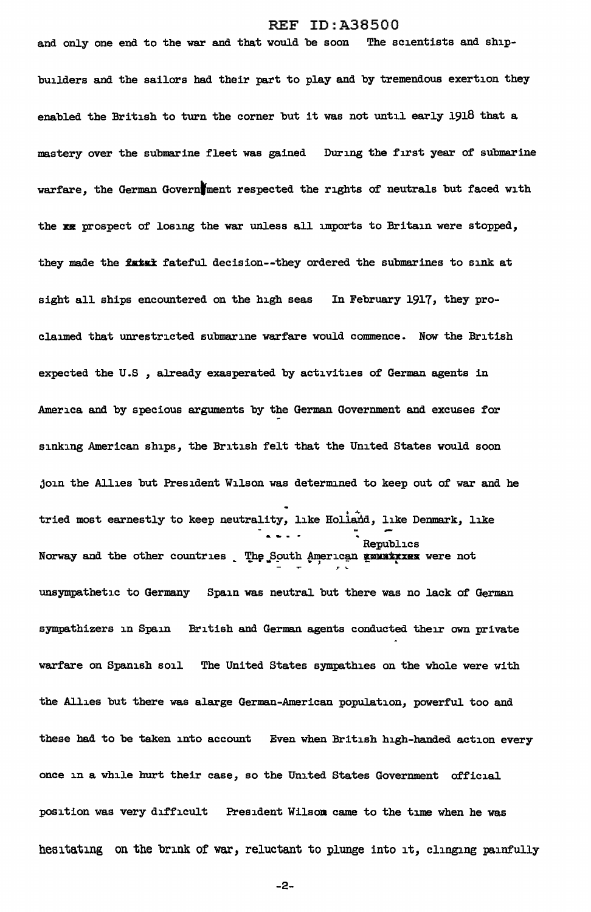and only one end to the war and that would be soon The scientists and shipbuilders and the sailors had their part to play and by tremendous exertion they enabled the British to turn the corner but it was not until early 1918 that a mastery over the submarine fleet was gained During the first year of submarine warfare, the German Govern ment respected the rights of neutrals but faced with the xx prospect of losing the war unless all imports to Britain were stopped, they made the fatax fateful decision--they ordered the submarines to sink at sight all ships encountered on the high seas In February 1917, they proclaimed that unrestricted submarine warfare would commence. Now the British expected the U.S , already exasperated by activities of German agents in America and by specious arguments by the German Government and excuses for sinking American ships, the British felt that the United States would soon join the Allies but President Wilson was determined to keep out of war and he .<br>tried most earnestly to keep neutrality, like Holland, like Denmark, like d, like De<br>Republics Republics<br>Norway and the other countries L The South American Emuntxies were not *T* <sup>~</sup> unsympathetic to Germany Spain was neutral but there was no lack of German sympathizers in Spain British and German agents conducted their own private warfare on Spanish soil The United States sympathies on the whole were with the Allies but there was alarge German-American population, powerful too and these had to be taken into account Even when British high-handed action every once in a while hurt their case, so the United States Government official position was very difficult President Wilsom came to the time when he was hesitating on the brink of war, reluctant to plunge into it, clinging painfully

-2-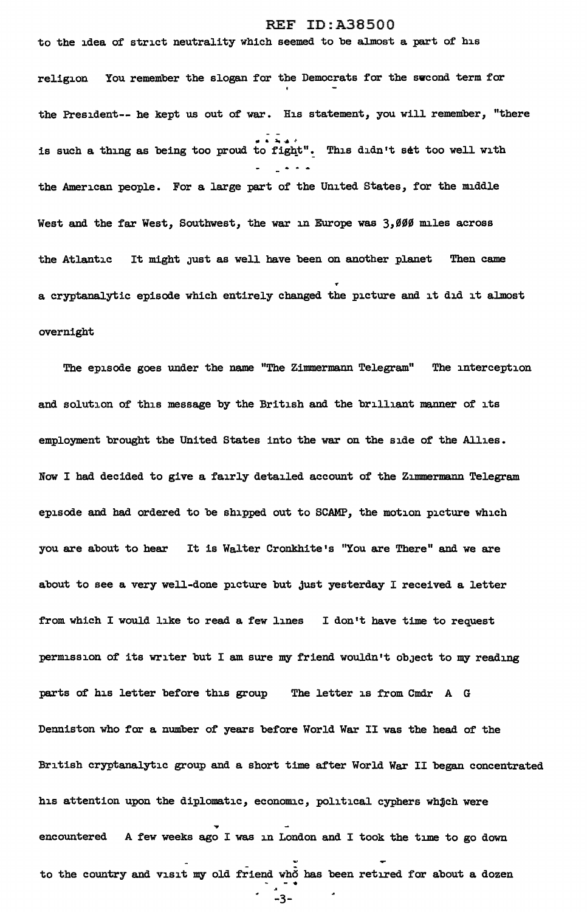to the idea of strict neutrality which seemed to be almost a part of his

religion You remember the slogan for the Democrats for the svcond term for the President-- he kept us out of war. His statement, you will remember, "there is such a thing as being too proud to fight". This didn't set too well with the American people. For a large part of the United States, for the middle West and the far West, Southwest, the war in Europe was 3,000 miles across the Atlantic It might just as well have been on another planet Then came ... a cryptanalytic episode which entirely changed the picture and it did it almost overnight

The episode goes under the name "The Zimmermann Telegram" The interception and solution of this message by the British and the brilliant manner of its employment brought the United States into the war on the side of the Allies. Now I had decided to give a fairly detailed account of the Zimmermann Telegram episode and had ordered to be shipped out to SCAMP, the motion picture which you are about to hear It is Walter Cronkhite's "You are There" and we are about to see a very well-done picture but Just yesterday I received a letter from which I would like to read a few lines I don't bave time to request permission of its writer but I am sure my friend wouldn't obJect to my reading parts of his letter before this group The letter is from Cmdr A G Denniston who for a number of years before World War II was the head of the British cryptanalytic group and a short time after World War II began concentrated his attention upon the diplomatic, economic, political cyphers whjch were .... encountered A few weeks ago I was in London and I took the time to go down to the country and visit my old friend who has been retired for about a dozen  $-3-$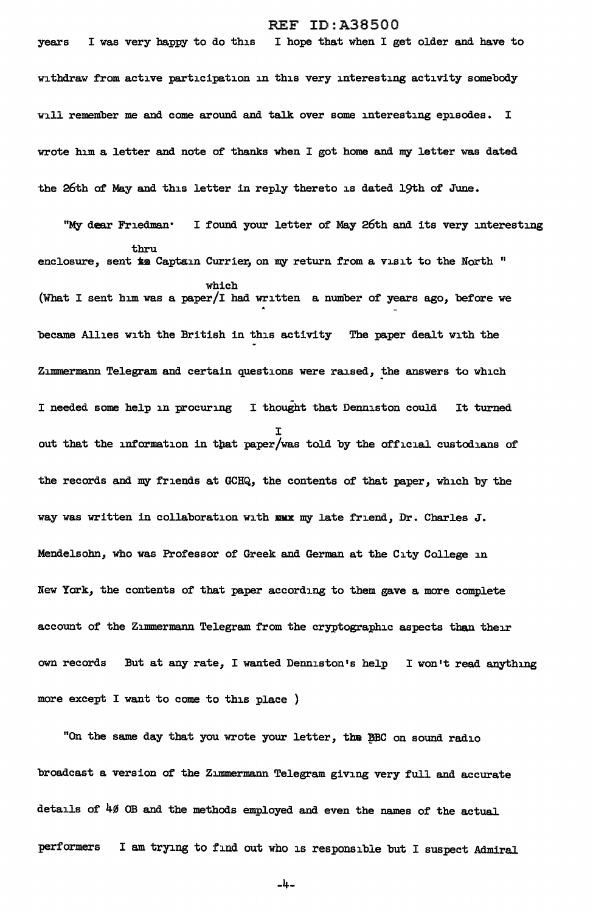years I was very happy to do this I hope that when I get older and have to withdraw from active participation in this very interesting activity somebody will remember me and come around and talk over some interesting episodes. I wrote him a letter and note of thanks when I got home and my letter was dated the 26th of May and this letter in reply thereto is dated 19th of June.

"My dear Friedman· I found your letter of May 26th and its very interesting thru enclosure, sent is Captain Currier, on my return from a visit to the North " which (What I sent him was a paper/I had written a number of years ago, before we became Allies with the British in this activity The paper dealt with the Zimmermann Telegram and certain questions were raised, the answers to which I needed some help in procuring I thought that Denniston could It turned I out that the information in that paper/was told by the official custodians of the records and my friends at GCHQ, the contents of that paper, which by the way was written in collaboration with xxx my late friend, Dr. Charles J. Mendelsohn, who was Professor of Greek and German at the City College in New York, the contents of that paper according to them gave a more complete account of the Zimmermann Telegram from the cryptographic aspects than their own records But at any rate, I wanted Denniston's help I won't read anything more except I want to come to this place )

"On the same day that you wrote your letter, the BBC on sound radio broadcast a version of the Zimmermann Telegram giving very full and accurate details of 40 OB and the methods employed and even the names of the actual performers I am trying to find out who is responsible but I suspect Admiral

-4-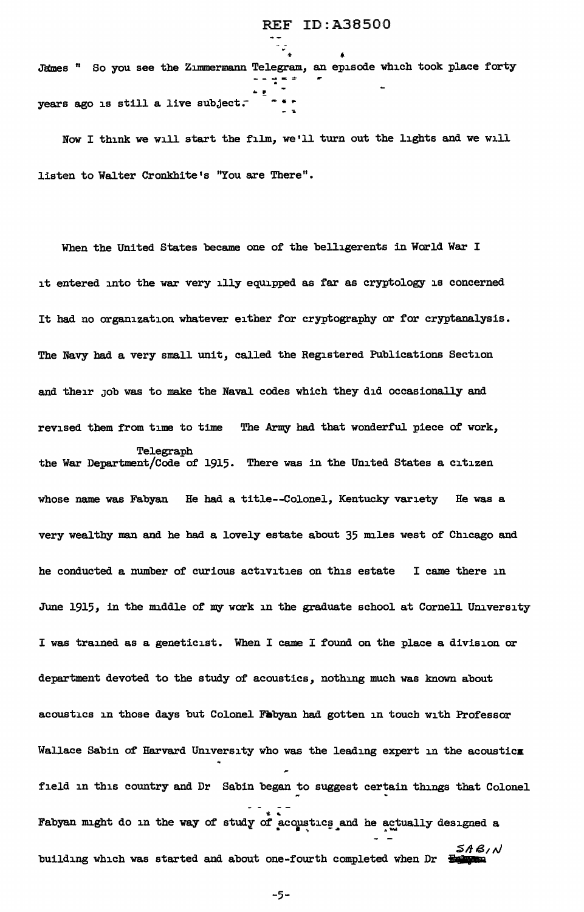J"ames 11 So you see the ZJ.IDmermann Telegram, an episode which took place forty ... . - .. years ago is still a live subject. -----=- .

- -*v* 

Now I think we will start the film, we'll turn out the lights and we will listen to Walter Cronkhite's "You are There".

When the United States became one of the belligerents in World War I it entered into the war very illy equipped as far as cryptology is concerned It had no organization whatever either for cryptography or for cryptanalysis. The Navy had a very small unit, called the Registered Publications Section and their Job was to make the Naval codes which they did occasionally and revised them from time to time The Army had that wonderful piece of work, Telegraph the War Department/Code of 1915. There was in the United States a citizen whose name was Fabyan He had a title--Colonel, Kentucky variety He was a very wealthy man and he had a lovely estate about 35 miles west of Chicago and he conducted a number of curious activities on this estate I came there in June 1915, in the middle of my work in the graduate school at Cornell University I was trained as a geneticist. When I came I found on the place a division or department devoted to the study of acoustics, nothing much was known about acoustics in those days but Colonel Fabyan had gotten in touch with Professor Wallace Sabin of Harvard University who was the leading expert in the acoustics field in this country and Dr Sabin began to suggest certain things that Colonel Fabyan might do in the way of study of acqustics and he actually designed a 5A B1 N building which was started and about one-fourth completed when Dr <del>Fourth</del>

-5-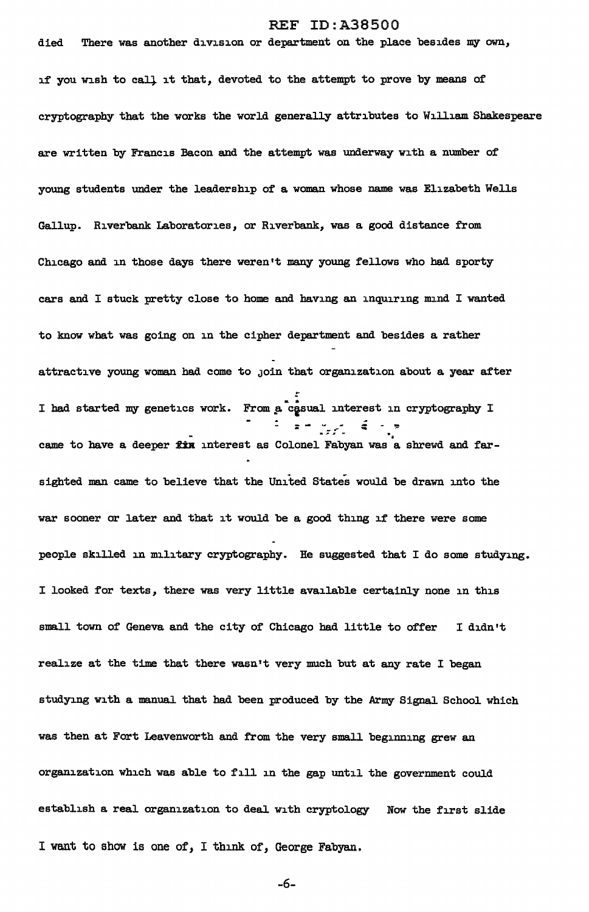died There was another division or department on the place besides my own, if you wish to call it that, devoted to the attempt to prove by means of cryptography that the works the world generally attributes to William Shakespeare are written by Francis Bacon and the attempt was underway with a number of' young students under the leadership of' a woman whose name was Elizabeth Wells Gallup. Riverbank Laboratories, or Riverbank, was a good distance from Chicago and in those days there weren't many young fellows who had sporty cars and I stuck pretty close to home and having an inquiring mind I wanted to know what was going on in the cipher department and besides a rather attractive young woman had come to JOin that organization about a year after .. I had started my genetics work. From a casual interest in cryptography I - - w - ... - - -. • came to have a deeper fin interest as Colonel Fabyan was a shrewd and farsighted man came to believe that the United States would be drawn into the war sooner or later and that it would be a good thing if there were some people skilled in military cryptography. He suggested that I do some studying. I looked for texts, there was very little available certainly none in this small town of Geneva and the city of Chicago had little to offer I didn't realize at the time that there wasn't very much but at any rate I began studying with a manual that had been produced by the Army Signal School which was then at Fort Leavenworth and from the very small beginning grew an organization which was able to fill in the gap until the government could establish a real organization to deal with cryptology Now the first slide I want to show is one *of,* I think of, George Fabyan.

-6-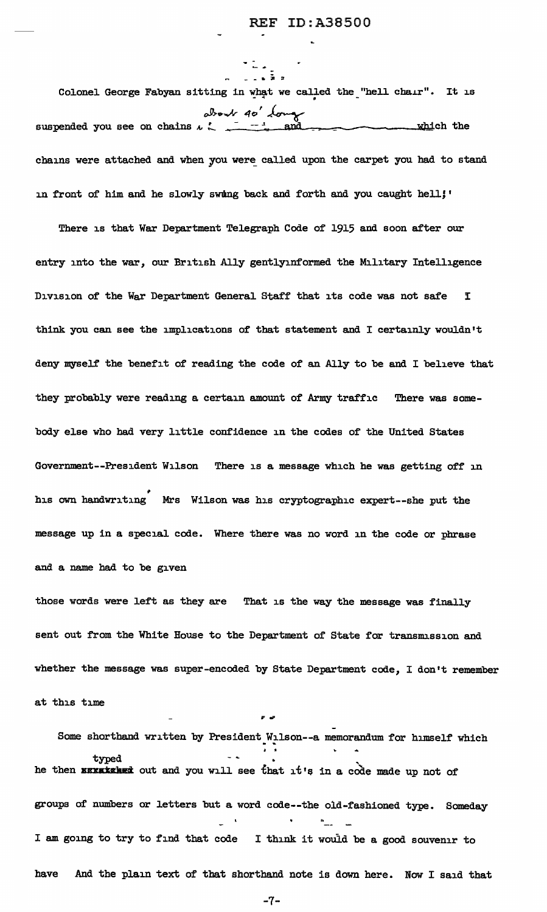- - - • **i** :!' Colonel George Fabyan sitting in what we called the "hell chair". It is oJl,.o-..J.r *4o'* ~ suspended you see on chains  $\iota \subset \frac{1}{\mathcal{A}}$  and  $\mathcal{A}$  =  $\mathcal{A}$  which the chains were attached and when you were called upon the carpet you had to stand in front of him and he slowly swing back and forth and you caught hell;'

There is that War Department Telegraph Code of 1915 and soon after our entry into the war, our British Ally gentlyinformed the Military Intelligence Division of the War Department General Staff that its code was not safe I think you can see the implications of that statement and I certainly wouldn't deny myself the benefit of reading the code of an Ally to be and I believe that they probably were reading a certain amount of Army traffic There was somebody else who had very little confidence in the codes of the United States Government--President Wilson There is a message which he was getting off in his own handwriting Mrs Wilson was his cryptographic expert--she put the message up in a special code. Where there was no word in the code or phrase and a name had to be given

those words were left as they are That is the way the message was finally sent out from the White House to the Department of State for transmission and whether the message was super-encoded by State Department code, I don't remember at this time

Some shorthand written by President Wilson--a memorandum for himself which • • typed ' he then **surmished** out and you will see that it's in a code made up not of groups of numbers or letters but a word code--tbe old-fashioned type. Someday I am going to try to find that code I think it would be a good souvenir to have And the plain text of that shorthand note is down here. Now I said that

-7-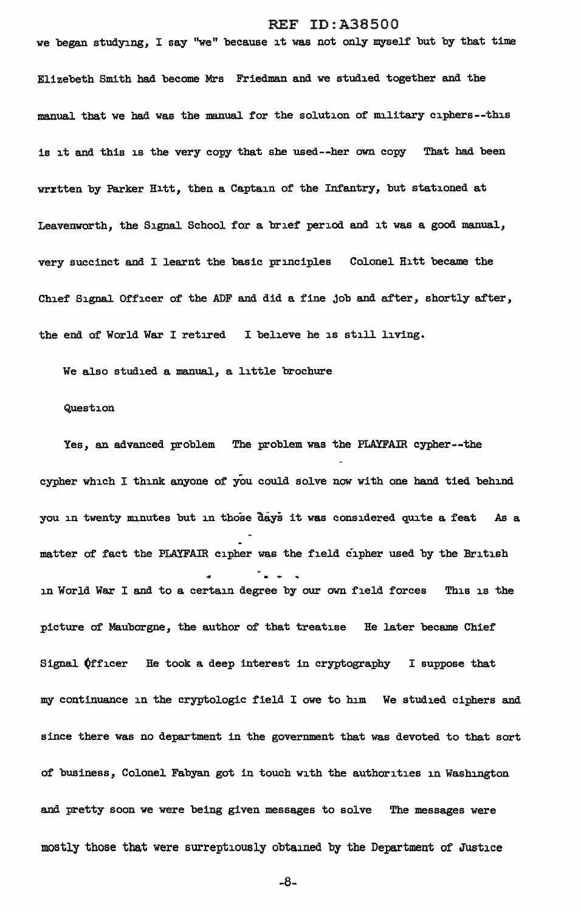we began studying, I say "we" because it was not only myself but by that time Elizebeth Smith had become Mrs Friedman and we studied together and the manual that we had was the manual for the solution of military ciphers--this is it and this is the very copy that she used--her own copy That had been wrrtten by Parker Hitt, then a Captain of the Infantry, but stationed at Leavenworth, the Signal School for a brief' period and it was a good manual, very succinct and I learnt the basic principles Colonel Hitt became the Chief Signal Officer of the ADF and did a fine job and after, shortly after, the end of World War I retired I believe he is still living.

We also studied a manual, a little brochure

#### Question

Yes, an advanced problem The problem was the PLAYFAIR cypher--the cypher which I think anyone of you could solve now with one hand tied behind you in twenty minutes but in those days it was considered quite a feat As a matter of fact the PLAYFAIR cipher was the field cipher used by the British in World War I and to a certain degree by our own field forces This is the picture of Mauborgne, the author of that treatise He later became Chief Signal  $&$  (fficer He took a deep interest in cryptography I suppose that my continuance in the cryptologic field I owe to him We studied ciphers and since there was no department in the government that was devoted to that sort of business, Colonel Fabyan got in touch with the authorities in Washington and pretty soon we were being given messages to solve The messages were mostly those that were surreptiously obtained by the Department of Justice

-8-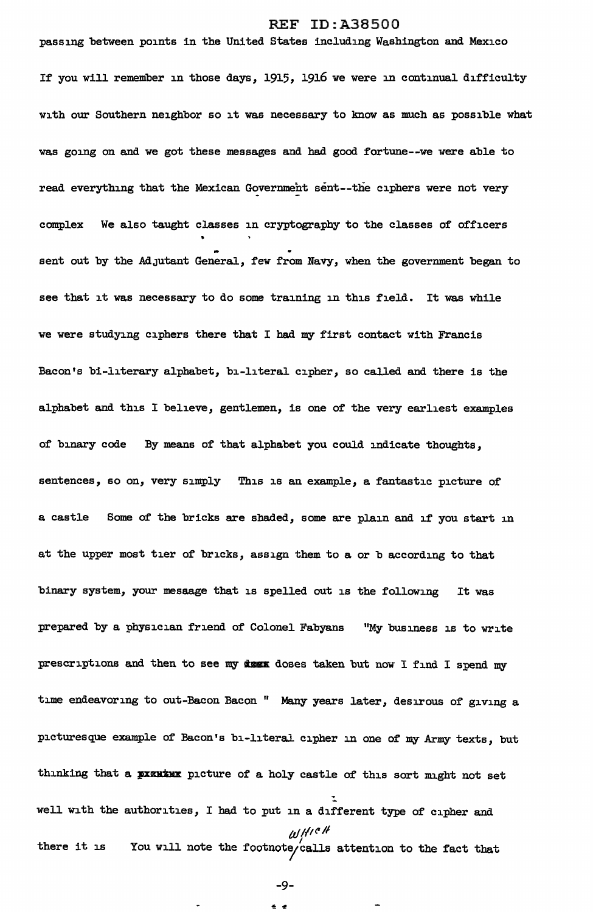passing between points in the United States including Washington and Mexico If you will remember in those days, 1915, 1916 we were in continual difficulty with our Southern neighbor so it was necessary to know as much as possible what was going on and we got these messages and had good fortune--we were able to read everything that the Mexican Government sent--the ciphers were not very complex We also taught classes in cryptography to the classes of officers sent out by the Adjutant General, few from Navy, when the government began to see that it was necessary to do some training in this field. It was while we were studying ciphers there that I had my first contact with Francis Bacon's bi-literary alphabet, bi-literal cipher, so called and there is the alphabet and this I believe, gentlemen, is one of the very earliest examples of binary code By means of that alphabet you could indicate thoughts, sentences, so on, very simply This is an example, a fantastic picture of a castle Some of the bricks are shaded, some are plain and if you start in at the upper most tier of bricks, assign them to a or b according to that binary system, your mesaage that is spelled out is the following It was prepared by a physician friend of Colonel Fabyans "My business is to write prescriptions and then to see my dess doses taken but now I find I spend my time endeavoring to out-Bacon Bacon " Many years later, desirous of giving a picturesque example of Bacon's bi-literal cipher in one of my Army texts, but thinking that a pixure picture of a holy castle of this sort might not set :. well with the authorities, I had to put in a different type of cipher and tlf */{1('* II there it is You will note the footnote/calls attention to the fact that

-9-

e e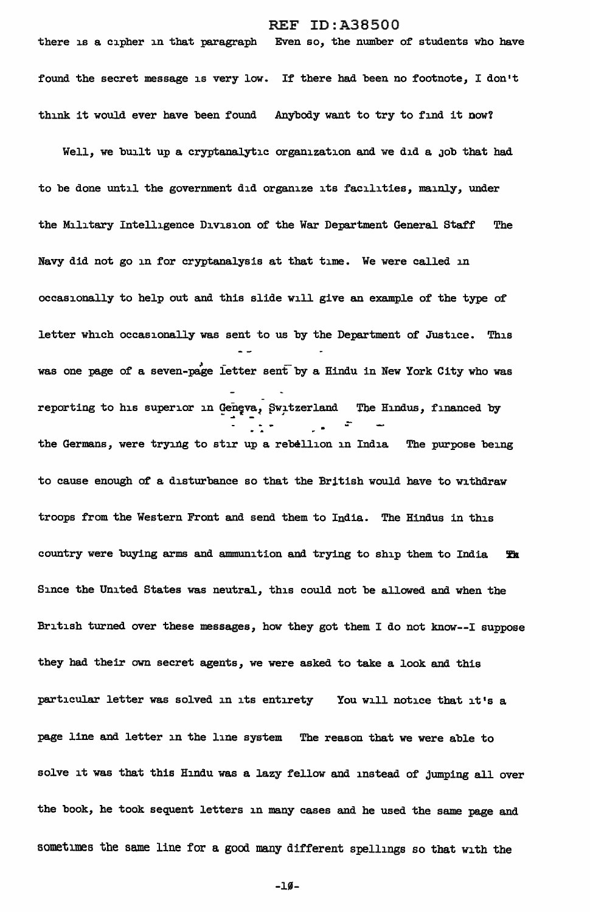there is a cipher in that paragraph Even so, the number of students who have found the secret message is very low. If there had been no footnote, I don't think it would ever have been found Anybody want to try to find it now'l

Well, we built up a cryptanalytic organization and we did a job that had to be done until the government did organize its facilities, mainly, under the Military Intelligence Division of the War Department General Staff The Navy did not go in for cryptanalysis at that time. We were called in occasionally to help out and this slide will give an example of the type of letter which occasionally was sent to us by the Department of Justice. This was one page of a seven-page letter sent by a Hindu in New York City who was reporting to his superior in Geneva, Switzerland The Hindus, financed by ÷ the Germans, were trying to stir up a rebellion in India The purpose being to cause enough of a disturbance so that the British would have to withdraw troops from the Western Front and send them to India. The Hindus in this country were buying arms and ammunition and trying to ship them to India  $~\mathbf{F}$  x Since the United States was neutral, this could not be allowed and when the British turned over these messages, how they got them I do not know--I suppose they had their own secret agents, we were asked to take a look and this particular letter was solved in its entirety You will notice that it's a page line and letter in the line system The reason that we were able to solve it was that this Hindu was a lazy fellow and instead of jumping all over the book, he took sequent letters in many cases and he used the same page and sometimes the same line for a good many different spellings so that with the

 $-10-$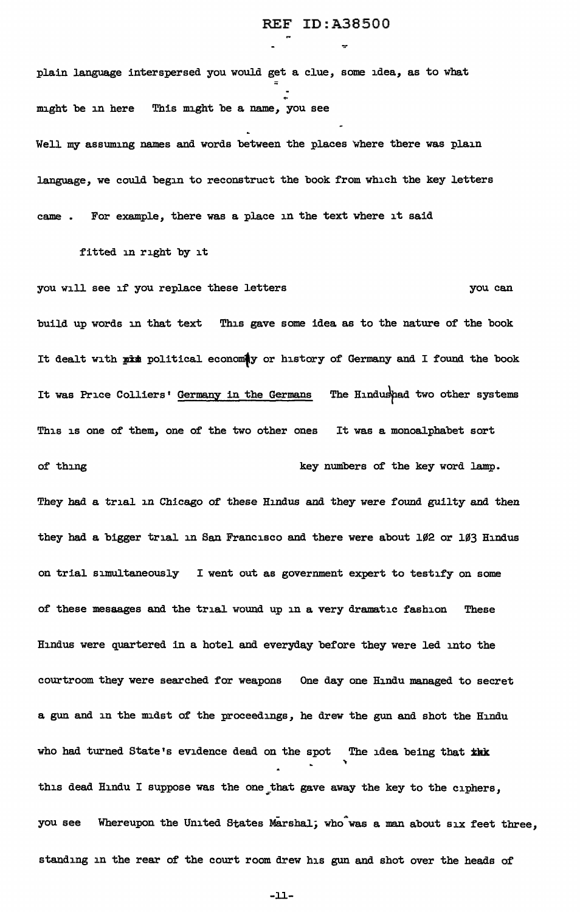plain language interspersed you would get a clue, some idea, as to what might be in here This might be a name, you see Well my assuming names and words between the places where there was plain language, we could begin to reconstruct the book from which the key letters came . For example, there was a place in the text where it said

fitted in right by it

you will see if you replace these letters you can build up words in that text This gave some idea as to the nature of the book It dealt with pit political economy or history of Germany and I found the book It was Price Colliers' Germany in the Germans The Hindushad two other systems This is one of them, one of the two other ones It was a monoalphabet sort of thing  $key$  numbers of the key word lamp. They had a trial in Chicago of these Hindus and they were found guilty and then they had a bigger trial in San Francisco and there were about 102 or 103 Hindus on trial simultaneously I went out as government expert to testify on some of these mesaages and the trial wound up in a very dramatic fashion These Hindus were quartered in a hotel and everyday before they were led into the

courtroom they were searched for weapons One day one Hindu managed to secret a gun and in the midst of the proceedings, he drew the gun and shot the Hindu who had turned State's evidence dead on the spot The idea being that *ink* " this dead Hindu I suppose was the one that gave away the key to the ciphers, you see Whereupon the United States Marshal; who was a man about six feet three, standing in the rear of the court room drew his gun and shot over the heads of

-ll-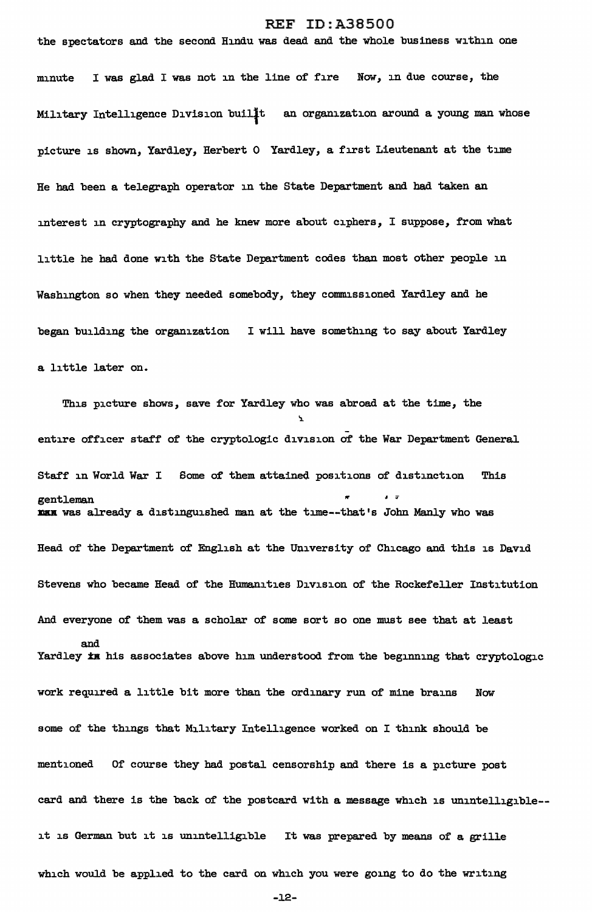the spectators and the second Hindu was dead and the whole business within one minute I was glad I was not in the line of fire Now, in due course, the Military Intelligence Division builit an organization around a young man whose picture is shown, Yardley, Herbert 0 Yardley, a first Lieutenant at the time He had been a telegraph operator in the State Department and had taken an interest in cryptography and he knew more about ciphers, I suppose, from what little he had done with the State Department codes than most other people in Washington so when they needed somebody, they commissioned Yardley and he began building the organization I will have something to say about Yardley a little later on.

This picture shows, save for Yardley who was abroad at the time, the ':!.. entire officer staff of the cryptologic division of the War Department General Staff in World War I Some of them attained positions of distinction This gentleman nam was already a distinguished man at the time--that's John Manly who was Head of the Department of English at the University of Chicago and this is David Stevens who became Head of the Humanities Division of the Rockefeller Institution And everyone of them was a scholar of some sort so one must see that at least and Yardley  $\overline{x}$  in his associates above him understood from the beginning that cryptologic work required a little bit more than the ordinary run of mine brains Now some of the things that Military Intelligence worked on I think should be mentioned Of course they bad postal censorship and there is a picture post card and there is the back of the postcard with a message which is unintelligible- it is German but it is unintelligible It was prepared by means of a grille which would be applied to the card on which you were going to do the writing

 $-12-$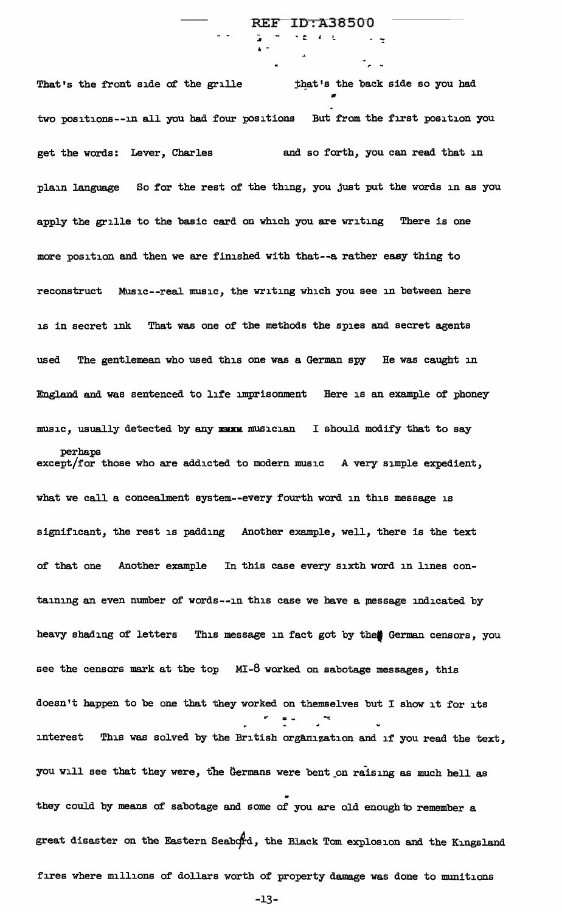That's the front side of the grille  $~$  that's the back side so you had • two positions--in all you had four positions But from the first position you get the words: Lever, Charles and so forth, you can read that in plain language So for the rest of the thing, you just put the words in as you apply the grille to the basic card on which you are writing There is one more position and then we are finished with that--a rather easy thing to reconstruct Music--real music, the writing which you see in between here is in secret ink That was one of the methods the spies and secret agents used The gentlemean who used this one was a German spy He was caught in England and was sentenced to life imprisonment Here is an example of phoney music, usually detected by any musu musician I should modify that to say perhaps except/for those who are addicted to modern music A very simple expedient, what we call a concealment eystem--every fourth word in this message is significant, the rest is padding Another example, well, there is the text of that one Another example In this case every sixth word in lines containing an even number of words--in this case we have a message indicated by heavy shading of letters This message in fact got by the German censors, you see the censors mark at the top MI-8 worked on sabotage messages, this doesn't happen to be one that they worked on themselves but I show it for its  $\equiv$   $\sim$ interest This was solved by the British organization and if you read the text, you will see that they were, the Germans were bent on raising as much hell as they could by means of sabotage and some of you are old enough to remember a great disaster on the Eastern Seabord, the Black Tom explosion and the Kingsland fires where millions of dollars worth of property damage was done to munitions

-

 $REF$ 

 $\cdot$   $\cdot$   $\cdot$   $\cdot$ 

**ID:A38500** 

-13-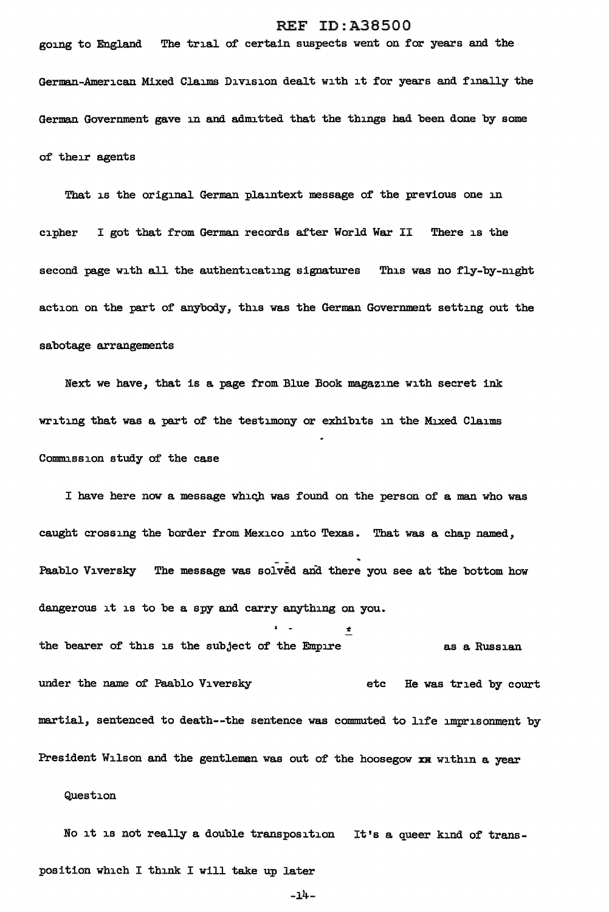going to England The trial of certain suspects went on for years and the German-American Mixed Claims Division dealt with it for years and finally the German Govermnent gave in and admitted that the things had been done by some of their agents

That is the original German plaintext message of the previous one in cipher I got that from German records after World War II There is the second page with all the authenticating signatures This was no fly-by-night action on the part of anybody, this was the German Government setting out the sabotage arrangements

Next we have, that is a page from Blue Book magazine with secret ink writing that was a part of the testimony or exhibits in the Mixed Claims Commission study of the case

I have here now a message which was found on the person of a man who was caught crossing the border from Mexico into Texas. That was a chap named, Paablo Viversky The message was solved and there you see at the bottom how dangerous it is to be a spy and carry anything on you.  $\cdot$  .  $\cdot$  . the bearer of this is the subject of the Empire as a Russian under the name of Paablo Viversky etc He was tried by court martial, sentenced to death--the sentence was commuted to life imprisonment by

President Wilson and the gentlemen was out of the hoosegow xx within a year

Question

No it is not really a double transposition It's a queer kind of transposition which I think I will take up later

 $-14-$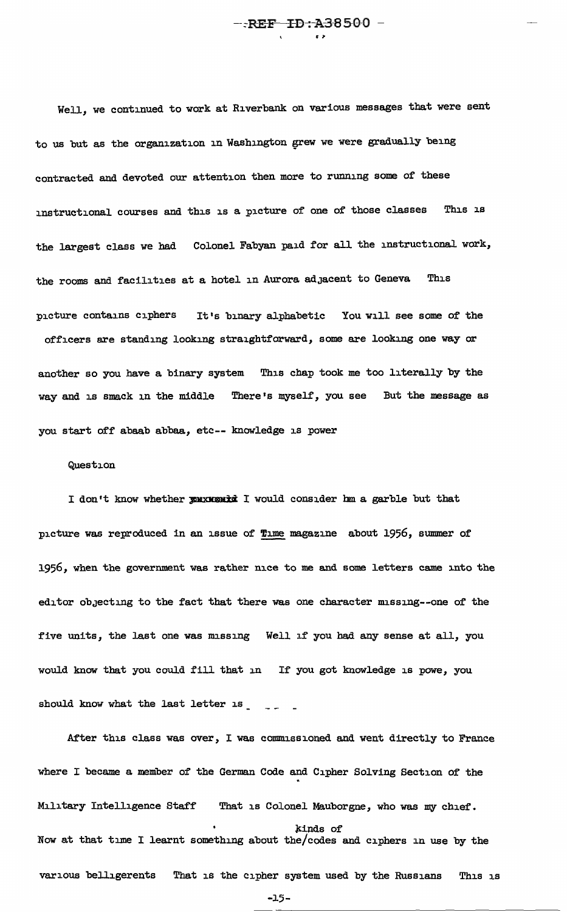Well, we continued to work at Riverbank on various messages that were sent to us but as the organization in Washington grew we were gradually being contracted and devoted our attention then more to running some of these instructional courses and this is a picture of one of those classes This is the largest class *we* had Colonel Fabyan paid for all the instructional work, the rooms and facilities at a hotel in Aurora adJacent to Geneva This picture contains ciphers It's binary alphabetic You will see some of the officers are standing looking straightforward, some are looking one way or another so you have a binary system This chap took me too literally by the way and is smack in the middle There's myself, you see But the message as you start off abaab abbaa, etc-- knowledge is power

#### Question

I don't know whether pouxwoontd I would consider hm a garble but that picture was reproduced in an issue of Time magazine about 1956, summer of 1956, when the government was rather nice to me and some letters came into the editor objecting to the fact that there was one character missing--one of the five units, the last one was missing Well if you had any sense at all, you would know that you could fill that in If you got knowledge is powe, you should know what the last letter is  $\sim$ 

After this class was over, I was commissioned and went directly to France where I became a member of the German Code and Cipher Solving Section of the Military Intelligence Staff That is Colonel Mauborgne, who was my chief. kinds of Now at that time I learnt something about the/codes and ciphers in use by the various belligerents That is the cipher system used by the Russians This is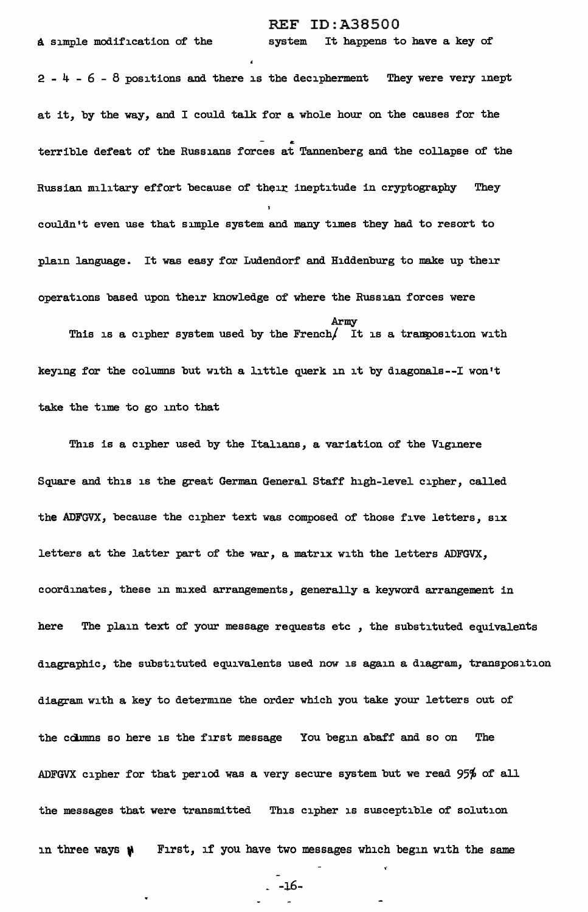A simple modification of the system It happens to have a key of

 $2 - 4 - 6 - 8$  positions and there is the decipherment They were very inept at it, by the way, and I could talk for a whole hour on the causes for the terrible defeat of the Russians forces at Tannenberg and the collapse of the Russian military effort because of their ineptitude in cryptography They couldn't even use that simple system and many times they had to resort to plain language. It was easy for Ludendorf and Hiddenburg to make up their operations based upon their knowledge of where the Russian forces were Army This is a cipher system used by the French $/$  It is a transposition with keying for the columns but with a little querk in it by diagonals--! won't

take the time to go into that

This is a cipher used by the Italians, a variation of the Viginere Square and this is the great German General Staff high-level cipher, called the ADFGVX, because the cipher text was composed of those five letters, six letters at the latter part of the war, a matrix with the letters ADFGVX, coordinates, these in mixed arrangements, generally a keyword arrangement in here The plain text of your message requests etc *,* the substituted equivalents diagraphic, the substituted equivalents used now is again a diagram, transposition diagram with a key to determine the order which you take your letters out of the cciunns so here is the first message You begin abaff and so on The ADFGVX cipher for that period was a very secure system but we read  $95%$  of all the messages that were transmitted This cipher is susceptible of solution in three ways  $\mathbf{\#}$  First, if you have two messages which begin with the same

~ -16-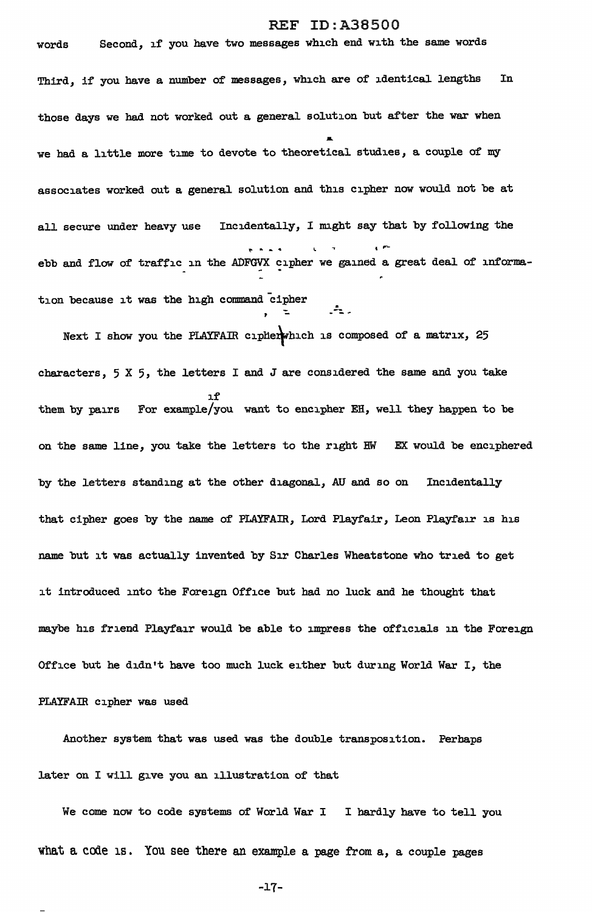words Second, if you have two messages which end with the same words Third, if you have a number of messages, which are of identical lengths In those days *we* had not worked out a general solution but after the war when we had a little more time to devote to theoretical studies, a couple of my associates worked out a general solution and this cipher now would not be at all secure under heavy use Incidentally, I might say that by following the  $\ddots$ ebb and flow of traffic in the ADFGVX cipher we gained a great deal of information because it was the high command cipher

Next I show you the PLAYFAIR cipherwhich is composed of a matrix, 25 characters,  $5 \times 5$ , the letters I and J are considered the same and you take l.f them by pairs For example/you want to encipher EH, well they happen to be on the same line, you take the letters to the right HW EX would be enciphered by the letters standing at the other diagonal, AU and so on Incidentally that cipher goes by the name of PLAYFAIR, Lord Playfair, Leon Playfair is his name but it was actually invented by Sir Charles Wheatstone who tried to get it introduced into the Foreign Office but had no luck and he thought that maybe his friend Playfair would be able to impress the officials in the Foreign Office but he didn 1t have too much luck either but during World War I, the PLAYFAIR cipher was used

Another system that was used was the double transposition. Perhaps later on I will give you an illustration of that

We come now to code systems of World War I I hardly have to tell you what a code is. You see there an example a page from  $a$ , a couple pages

-17-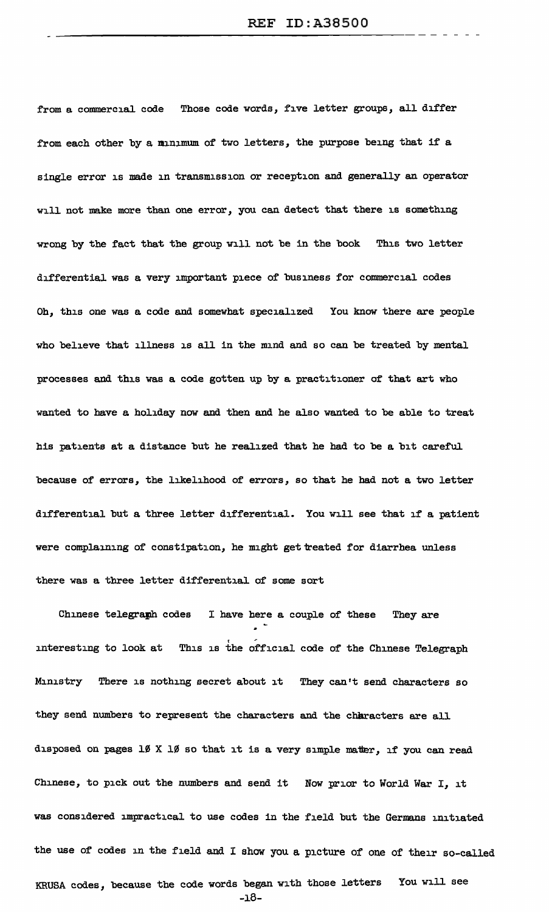from a commercial code Those code words, five letter groups, all differ from each other by a minimum of two letters, the purpose being that if a single error is made in transmission or reception and generally an operator will not make more than one error, you can detect that there is something wrong by the fact that the group will not be in the book This two letter differential was a very important piece of business for commercial codes Oh, this one was a code and somewhat specialized You know there are people who believe that illness is all in the mind and so can be treated by mental processes and this was a code gotten up by a practitioner of that art who wanted to have a holiday now and then and he also wanted to be able to treat bis patients at a distance but he realized that he had to be a bit careful because of errors, the likelihood of errors, so that he had not a two letter differential but a three letter differential. You will see that if a patient were complaining of constipation, he might get treated for diarrhea unless there was a three letter differential of some sort

Chinese telegramh codes I have here a couple of these They are interesting to look at This is the official code of the Chinese Telegraph Ministry There is nothing secret about it They can't send characters so they send numbers to represent the characters and the characters are all disposed on pages  $10 \times 10$  so that it is a very simple matter, if you can read Chinese, to pick out the numbers and send it Now prior to World War I, it was considered impractical to use codes in the field but the Germans initiated the use of codes in the field and I show you a picture of one of their so-called KRUSA codes, because the code words began with those letters You will see -18-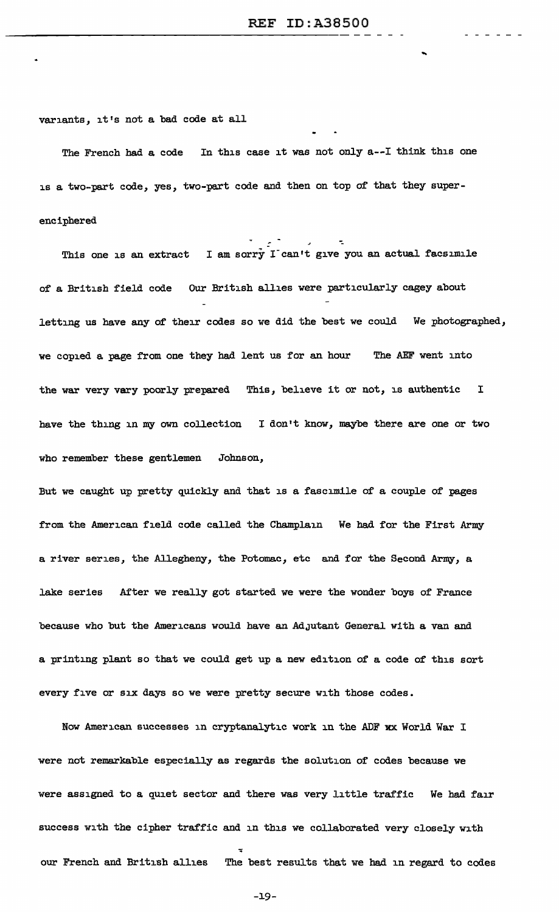...

. . . . . .

variants, it's not a bad code at all

The French had a code In this case it was not only a--I think this one is a two-part code, yes, two-part code and then on top of that they superenciphered

This one is an extract I am sorry I can't give you an actual facsimile of a British field code Our British allies were particularly cagey about letting us have any of their codes so we did the best we could We photographed, we copied a page from one they had lent us for an hour The AEF went into the war very vary poorly prepared This, believe it or not, is authentic <sup>I</sup> have the thing in my own collection I don't know, maybe there are one or two who remember these gentlemen Johnson,

But we caught up pretty quickly and that is a fascimile of a couple of pages from the American field code called the Champlain We had for the First Army a river series, the Allegheny, the Potomac, etc and for the Second Army, a lake series After we really got started *we* were the wonder boys of France because who but the Americans would have an AdJutant General with a van and a printing plant so that we could get up a new edition of a code of this sort every five or six days so we were pretty secure with those codes.

Now American successes in cryptanalytic work in the ADF xx World War I were not remarkable especially as regards the solution of codes because *we*  were assigned to a quiet sector and there was very little traffic We had fair success with the cipher traffic and in this we collaborated very closely with our French and British allies The best results that *we* had in regard to codes

-J.9-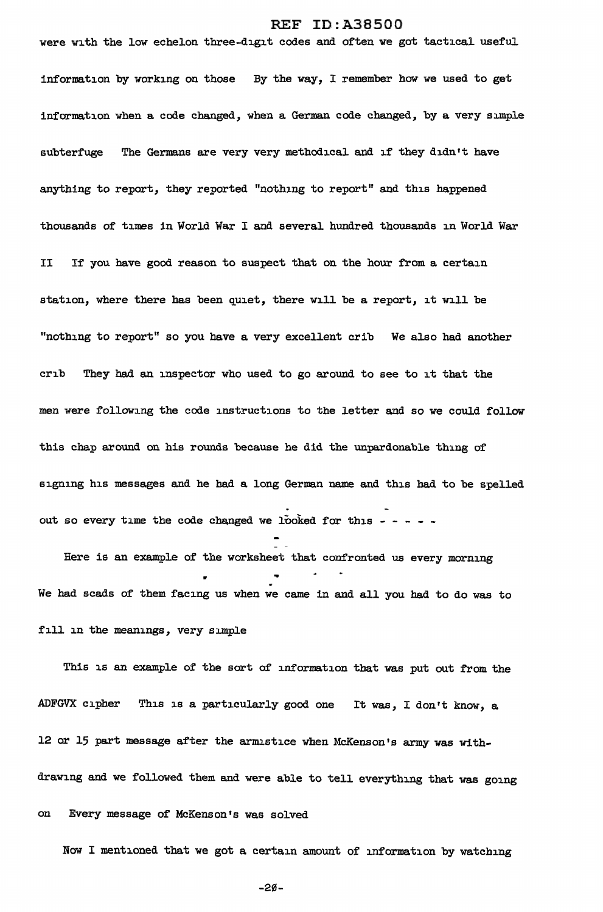were with the low echelon three-digit codes and often we got tactical useful information by working on those By the way, I remember how we used to get information when a code changed, when a German code changed, by a very simple subterfuge The Germans are very very methodical and if they didn't have anything to report, they reported "nothing to report" and this happened thousands of times in World War I and several hundred thousands in World War II If you have good reason to suspect that on the hour from a certain station, where there has been quiet, there will be a report, it will be "nothing to report" so you have a very excellent crib We also had another crib They had an inspector who used to go around to see to it that the men were following the code instructions to the letter and so we could follow this chap around on his rounds because he did the unpardonable thing of signing his messages and he had a long German name and this had to be spelled out so every time the code changed we looked for this - - - - -

Here is an example of the worksheet that confronted us every morning .. • We had scads of them facing us when we came in and all you had to do was to fill in the meanings, very simple

This is an example of the sort of information that was put out from the ADFGVX cipher This is a particularly good one It was, I don't know, a 12 or 15 part message after the armistice when McKenson's army was withdrawing and we followed them and were able to tell everything that was going on Every message of McKenson's was solved

Now I mentioned that we got a certain amount of information by watching

-20-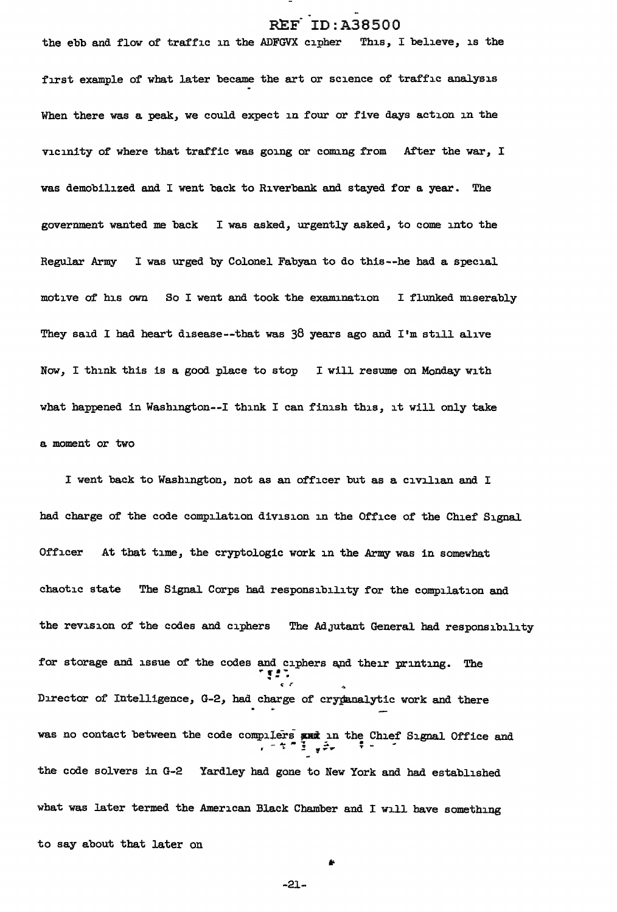the ebb and flow of traffic in the ADFGVX cipher This, I believe, is the first example of what later became the art or science of traffic analysis When there was a peak, we could expect in four or five days action in the vicinity of where that traffic was going or comng from After the war, I was demobilized and I went back to Riverbank and stayed for a year. The government wanted me back I was asked, urgently asked, to come into the Regular Army I was urged by Colonel Fabyan to do this--he had a special motive o£ his own So I went and took the examination I flunked miserably They said I had heart disease--that was 38 years ago and I'm still alive *Now,* I think this is a good place to stop I will resume on Monday with what happened in Washington--I think I can finish this, it will only take a moment or two

I went back to Washington, not as an officer but as a civilian and I had charge of the code compilation division in the Office of the Chief Signal Officer At that time, the cryptologic work in the Army was in somewhat chaotic state The Signal Corps had responsibility for the compilation and the revision of the codes and ciphers The Adjutant General had responsibility for storage and issue of the codes and ciphers and their printing. The  $^{\circ}$ Director of Intelligence, G-2, had charge of crypanalytic work and there was no contact between the code compilers with in the Chief Signal Office and ... ... . ... . ... . ... . ... . the code solvers in G-2 Yardley had gone to New York and had established what was later termed the American Black Chamber and I will have something to say about that later on

-21-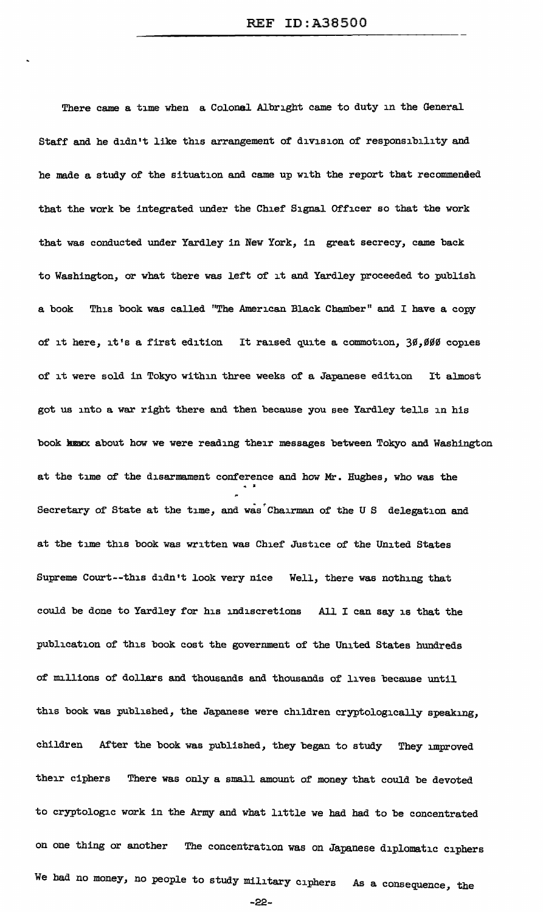There came a time when a Colonel Albright came to duty in the General Staff and he didn't like this arrangement of division of responsibility and he made a study of the situation and came up with the report that recommended that the work be integrated under the Chief Signal Officer so that the work that was conducted under Yardley in New York, in great secrecy, came back to Washington, or what there was left of it and Yardley proceeded to publish a book This book was called "The American Black Chamber" and I have a copy of it here, it's a first edition It raised quite a commotion, 30,000 copies of it were sold in Tokyo within three weeks of a Japanese edition It almost got us into a war right there and then because you see Yardley tells in his book hunx about how we were reading their messages between Tokyo and Washington at the time of the disarmament conference and how  $Mr$ . Hughes, who was the Secretary of State at the time, and was Chairman of the US delegation and at the time this book was written was Chief Justice of the United States Supreme Court--this didn't look very nice Well, there was nothing that could be done to Yardley for his indiscretions All I can say is that the publication of this book cost the government of the United States hundreds of millions of dollars and thousands and thousands of lives because until this book was published, the Japanese were children cryptologically speaking, children After the book was published, they began to study They improved their ciphers There was only a small amount of money that could be devoted to cryptologic work in the Army and what little *we* had had to be concentrated on one thing or another The concentration was on Japanese diplomatic ciphers We bad no money, no people to study military ciphers As a consequence, the

-22-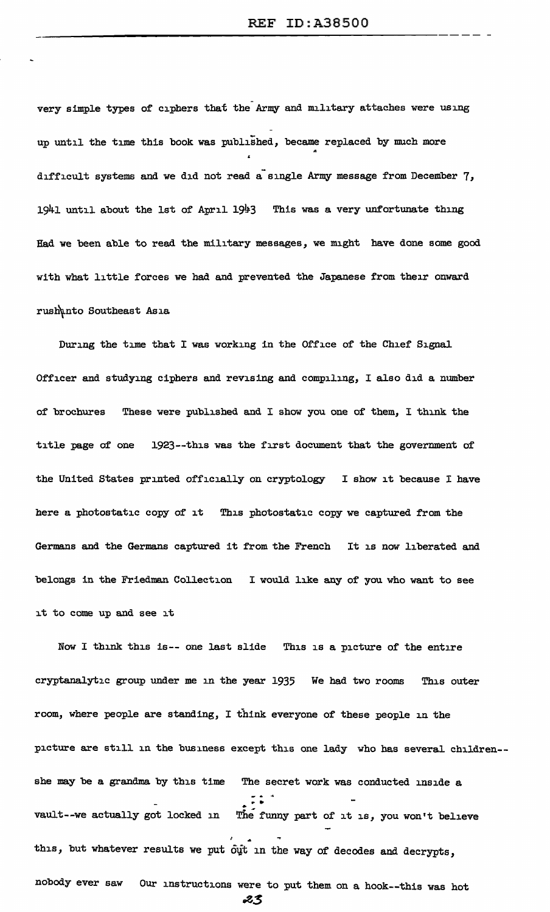very simple types of ciphers that the Army and military attaches were using up until the time this book was published, became replaced by much more difficult systems and we did not read a single Army message from December 7,  $1941$  until about the 1st of April  $1943$  This was a very unfortunate thing Had we been able to read the military messages, we might have done some good with what little forces we had and prevented the Japanese from their onward rush\nto Southeast Asia

During the time that I was working in the Office of the Chief Signal Officer and studying ciphers and revising and compiling, I also did a number of brochures These were published and I show you one of them, I think the title page of one 1923--this was the first document that the government of the United States printed officially on cryptology I show it because I have here a photostatic copy of it This photostatic copy we captured from the Germans and the Germans captured it from the French It is now liberated and belongs in the Friedman Collection I would like any of you who want to see it to come up and see it

Now I think this is-- one last slide This is a picture of the entire cryptanalytic group under me in the year 1935 We had two rooms This outer room, where people are standing, I think everyone of these people in the picture are still in the business except this one lady who has several children- she may be a grandma by this time The secret work was conducted inside a -<br>. .<br>. . . vault--we actually got locked in The funny part of it is, you won't believe this, but whatever results we put out in the way of decodes and decrypts, nobody ever saw Our instructions were to put them on a hook--this was hot ~\$